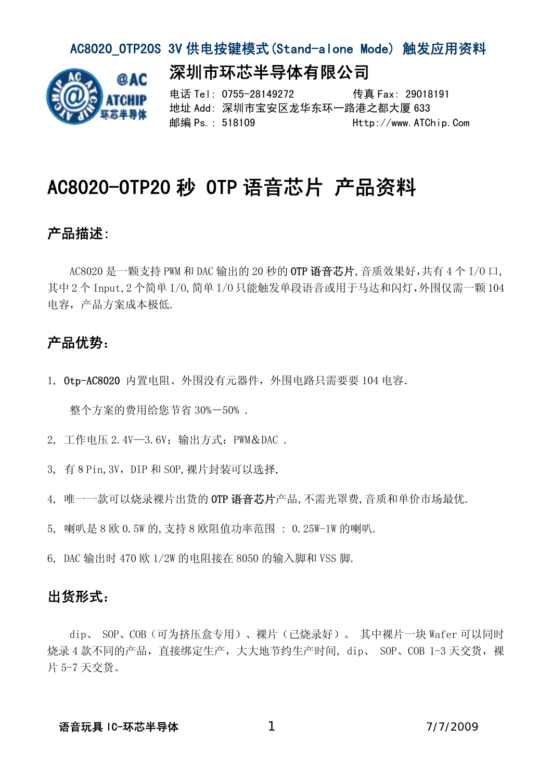#### AC8020 OTP20S 3V 供电按键模式(Stand-alone Mode) 触发应用资料

深圳市环芯半导体有限公司



电话 Tel: 0755-28149272 传真 Fax: 29018191 地址 Add: 深圳市宝安区龙华东环一路港之都大厦 633 邮编 Ps.: 518109 Http://www.ATChip.Com

# AC8020-OTP20 秒 OTP 语音芯片 产品资料

### 产品描述:

 AC8020 是一颗支持 PWM 和 DAC 输出的 20 秒的 OTP 语音芯片,音质效果好,共有 4 个 I/O 口, 其中 2 个 Input,2 个简单 I/O,简单 I/O 只能触发单段语音或用于马达和闪灯,外围仅需一颗 104 电容,产品方案成本极低.

### 产品优势:

1, Otp-AC8020 内置电阻、外围没有元器件,外围电路只需要要 104 电容.

整个方案的费用给您节省 30%-50% .

2, 工作电压 2.4V—3.6V;输出方式:PWM&DAC .

- 3, 有 8 Pin, 3V, DIP 和 SOP, 裸片封装可以选择.
- 4, 唯一一款可以烧录裸片出货的 OTP 语音芯片产品,不需光罩费,音质和单价市场最优.
- 5, 喇叭是 8 欧 0.5W 的,支持 8 欧阻值功率范围 : 0.25W-1W 的喇叭.
- 6, DAC 输出时 470 欧 1/2W 的电阻接在 8050 的输入脚和 VSS 脚.

#### 出货形式:

dip、 SOP、COB(可为挤压盒专用)、裸片(已烧录好)。 其中裸片一块 Wafer 可以同时 烧录 4 款不同的产品, 直接绑定生产, 大大地节约生产时间, dip、 SOP、COB 1-3 天交货, 裸 片 5-7 天交货。

#### 语音玩具 IC-环芯半导体 17/7/2009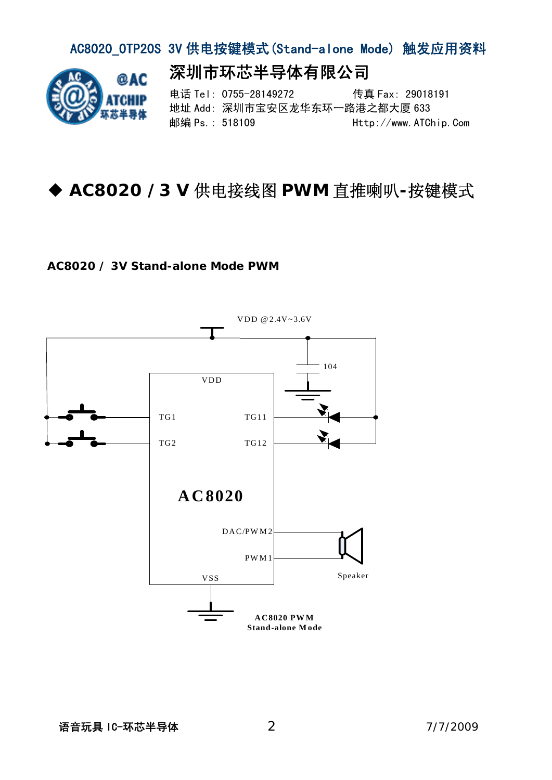### AC8020\_OTP20S 3V 供电按键模式(Stand-alone Mode) 触发应用资料

深圳市环芯半导体有限公司



电话 Tel: 0755-28149272 传真 Fax: 29018191 地址 Add: 深圳市宝安区龙华东环一路港之都大厦 633 邮编 Ps.: 518109 Http://www.ATChip.Com

## **AC8020 /3 V** 供电接线图 **PWM** 直推喇叭**-**按键模式

#### **AC8020 / 3V Stand-alone Mode PWM**

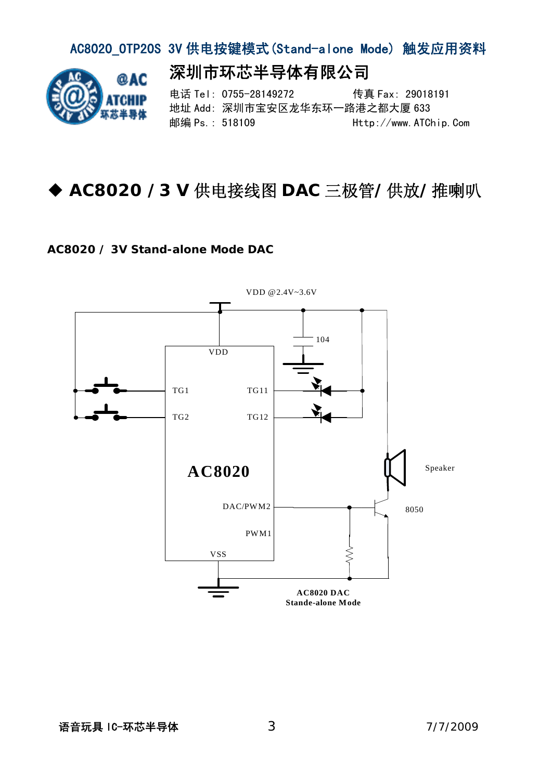#### AC8020\_OTP20S 3V 供电按键模式(Stand-alone Mode) 触发应用资料 深圳市环芯半导体有限公司 രു 电话 Tel: 0755-28149272 传真 Fax: 29018191 地址 Add: 深圳市宝安区龙华东环一路港之都大厦 633 邮编 Ps.: 518109 Http://www.ATChip.Com

# **AC8020 /3 V** 供电接线图 **DAC** 三极管**/**供放**/**推喇叭

#### **AC8020 / 3V Stand-alone Mode DAC**

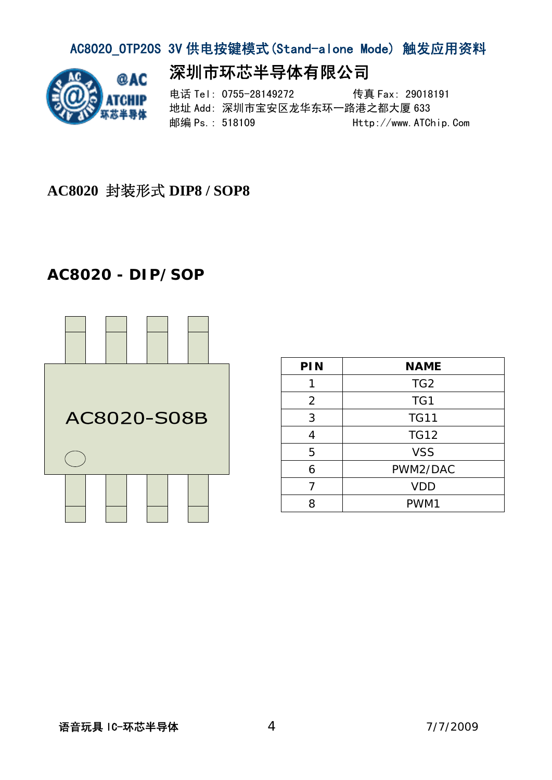## AC8020\_OTP20S 3V 供电按键模式(Stand-alone Mode) 触发应用资料



## 深圳市环芯半导体有限公司

电话 Tel: 0755-28149272 传真 Fax: 29018191 地址 Add: 深圳市宝安区龙华东环一路港之都大厦 633 邮编 Ps.: 518109 Http://www.ATChip.Com

### **AC8020** 封装形式 **DIP8 / SOP8**

## **AC8020 - DIP/SOP**



| PIN            | <b>NAME</b>     |
|----------------|-----------------|
|                | TG <sub>2</sub> |
| $\overline{2}$ | TG1             |
| 3              | <b>TG11</b>     |
| 4              | <b>TG12</b>     |
| 5              | <b>VSS</b>      |
| 6              | PWM2/DAC        |
|                | <b>VDD</b>      |
| 8              | PWM1            |